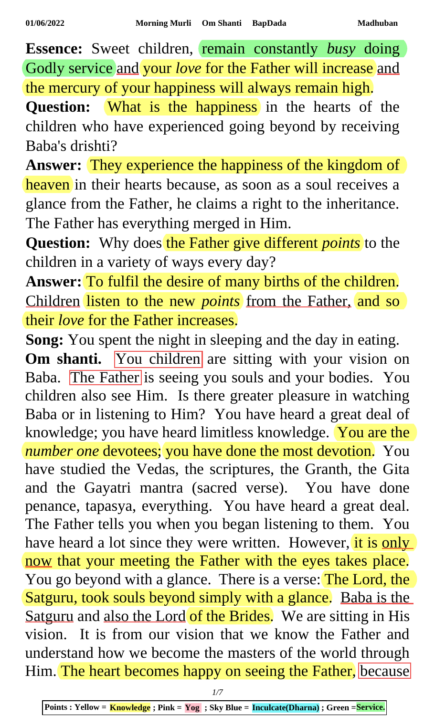**Essence:** Sweet children, remain constantly *busy* doing Godly service and your *love* for the Father will increase and the mercury of your happiness will always remain high.

Question: What is the happiness in the hearts of the children who have experienced going beyond by receiving Baba's drishti?

Answer: They experience the happiness of the kingdom of heaven in their hearts because, as soon as a soul receives a glance from the Father, he claims a right to the inheritance. The Father has everything merged in Him.

Question: Why does the Father give different *points* to the children in a variety of ways every day?

**Answer:** To fulfil the desire of many births of the children. Children listen to the new *points* from the Father, and so their *love* for the Father increases.

**Song:** You spent the night in sleeping and the day in eating. **Om shanti.** You children are sitting with your vision on Baba. The Father is seeing you souls and your bodies. You children also see Him. Is there greater pleasure in watching Baba or in listening to Him? You have heard a great deal of knowledge; you have heard limitless knowledge. You are the *number one* devotees; you have done the most devotion. You have studied the Vedas, the scriptures, the Granth, the Gita and the Gayatri mantra (sacred verse). You have done penance, tapasya, everything. You have heard a great deal. The Father tells you when you began listening to them. You have heard a lot since they were written. However, it is only now that your meeting the Father with the eyes takes place. You go beyond with a glance. There is a verse: The Lord, the Satguru, took souls beyond simply with a glance. Baba is the Satguru and also the Lord of the Brides. We are sitting in His vision. It is from our vision that we know the Father and understand how we become the masters of the world through Him. The heart becomes happy on seeing the Father, because

*1/7*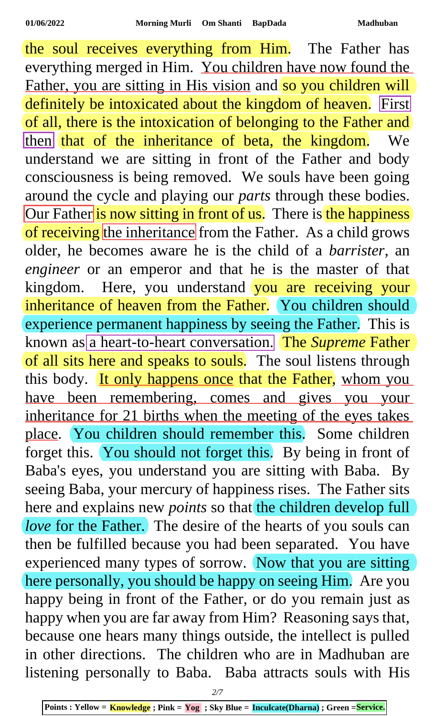the soul receives everything from Him. The Father has everything merged in Him. You children have now found the Father, you are sitting in His vision and so you children will definitely be intoxicated about the kingdom of heaven. First of all, there is the intoxication of belonging to the Father and then that of the inheritance of beta, the kingdom. We understand we are sitting in front of the Father and body consciousness is being removed. We souls have been going around the cycle and playing our *parts* through these bodies. Our Father is now sitting in front of us. There is the happiness of receiving the inheritance from the Father. As a child grows older, he becomes aware he is the child of a *barrister*, an *engineer* or an emperor and that he is the master of that kingdom. Here, you understand you are receiving your inheritance of heaven from the Father. You children should experience permanent happiness by seeing the Father. This is known as a heart-to-heart conversation. The *Supreme* Father of all sits here and speaks to souls. The soul listens through this body. It only happens once that the Father, whom you have been remembering, comes and gives you your inheritance for 21 births when the meeting of the eyes takes place. You children should remember this. Some children forget this. You should not forget this. By being in front of Baba's eyes, you understand you are sitting with Baba. By seeing Baba, your mercury of happiness rises. The Father sits here and explains new *points* so that the children develop full *love* for the Father. The desire of the hearts of you souls can then be fulfilled because you had been separated. You have experienced many types of sorrow. Now that you are sitting here personally, you should be happy on seeing Him. Are you happy being in front of the Father, or do you remain just as happy when you are far away from Him? Reasoning says that, because one hears many things outside, the intellect is pulled in other directions. The children who are in Madhuban are listening personally to Baba. Baba attracts souls with His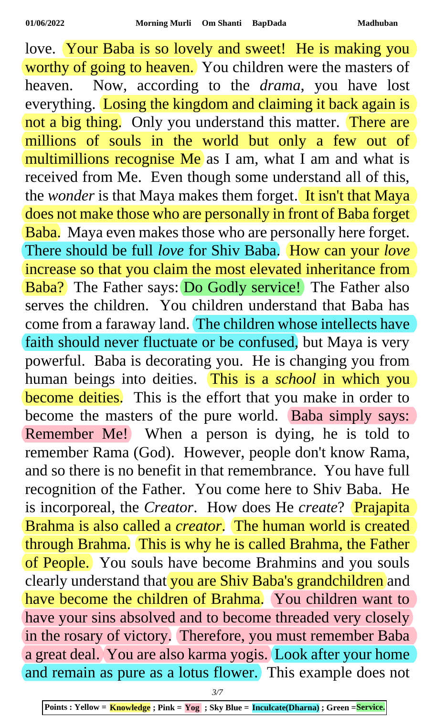love. Your Baba is so lovely and sweet! He is making you worthy of going to heaven. You children were the masters of heaven. Now, according to the *drama*, you have lost everything. Losing the kingdom and claiming it back again is not a big thing. Only you understand this matter. There are millions of souls in the world but only a few out of multimillions recognise Me as I am, what I am and what is received from Me. Even though some understand all of this, the *wonder* is that Maya makes them forget. It isn't that Maya does not make those who are personally in front of Baba forget Baba. Maya even makes those who are personally here forget. There should be full *love* for Shiv Baba. How can your *love* increase so that you claim the most elevated inheritance from Baba? The Father says: Do Godly service! The Father also serves the children. You children understand that Baba has come from a faraway land. The children whose intellects have faith should never fluctuate or be confused, but Maya is very powerful. Baba is decorating you. He is changing you from human beings into deities. This is a *school* in which you become deities. This is the effort that you make in order to become the masters of the pure world. Baba simply says: Remember Me! When a person is dying, he is told to remember Rama (God). However, people don't know Rama, and so there is no benefit in that remembrance. You have full recognition of the Father. You come here to Shiv Baba. He is incorporeal, the *Creator*. How does He *create*? Prajapita Brahma is also called a *creator*. The human world is created through Brahma. This is why he is called Brahma, the Father of People. You souls have become Brahmins and you souls clearly understand that you are Shiv Baba's grandchildren and have become the children of Brahma. You children want to have your sins absolved and to become threaded very closely in the rosary of victory. Therefore, you must remember Baba a great deal. You are also karma yogis. Look after your home and remain as pure as a lotus flower. This example does not

*3/7*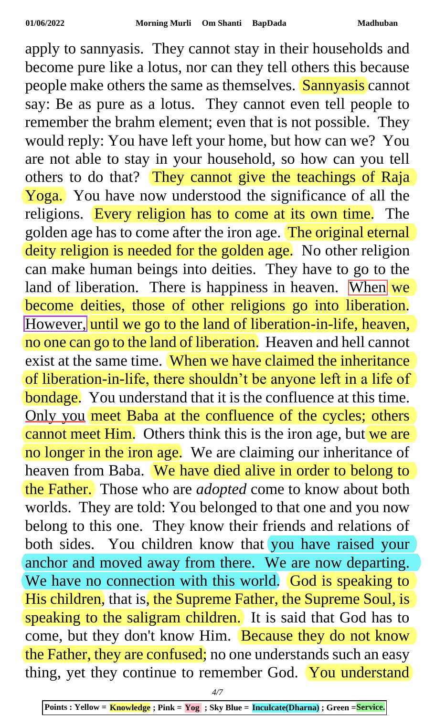apply to sannyasis. They cannot stay in their households and become pure like a lotus, nor can they tell others this because people make others the same as themselves. Sannyasis cannot say: Be as pure as a lotus. They cannot even tell people to remember the brahm element; even that is not possible. They would reply: You have left your home, but how can we? You are not able to stay in your household, so how can you tell others to do that? They cannot give the teachings of Raja Yoga. You have now understood the significance of all the religions. Every religion has to come at its own time. The golden age has to come after the iron age. The original eternal deity religion is needed for the golden age. No other religion can make human beings into deities. They have to go to the land of liberation. There is happiness in heaven. When we become deities, those of other religions go into liberation. However, until we go to the land of liberation-in-life, heaven, no one can go to the land of liberation. Heaven and hell cannot exist at the same time. When we have claimed the inheritance of liberation-in-life, there shouldn't be anyone left in a life of **bondage.** You understand that it is the confluence at this time. Only you meet Baba at the confluence of the cycles; others cannot meet Him. Others think this is the iron age, but we are no longer in the iron age. We are claiming our inheritance of heaven from Baba. We have died alive in order to belong to the Father. Those who are *adopted* come to know about both worlds. They are told: You belonged to that one and you now belong to this one. They know their friends and relations of both sides. You children know that you have raised your anchor and moved away from there. We are now departing. We have no connection with this world. God is speaking to His children, that is, the Supreme Father, the Supreme Soul, is speaking to the saligram children. It is said that God has to come, but they don't know Him. Because they do not know the Father, they are confused; no one understands such an easy thing, yet they continue to remember God. You understand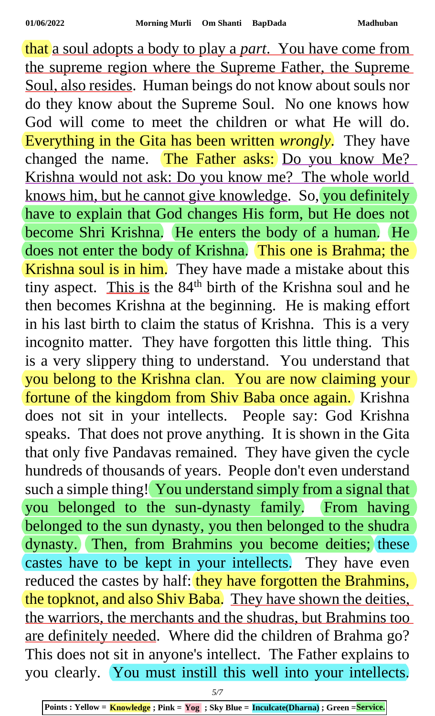that a soul adopts a body to play a *part*. You have come from the supreme region where the Supreme Father, the Supreme Soul, also resides. Human beings do not know about souls nor do they know about the Supreme Soul. No one knows how God will come to meet the children or what He will do. Everything in the Gita has been written *wrongly*. They have changed the name. The Father asks: Do you know Me? Krishna would not ask: Do you know me? The whole world knows him, but he cannot give knowledge. So, you definitely have to explain that God changes His form, but He does not become Shri Krishna. He enters the body of a human. He does not enter the body of Krishna. This one is Brahma; the Krishna soul is in him. They have made a mistake about this tiny aspect. This is the 84<sup>th</sup> birth of the Krishna soul and he then becomes Krishna at the beginning. He is making effort in his last birth to claim the status of Krishna. This is a very incognito matter. They have forgotten this little thing. This is a very slippery thing to understand. You understand that you belong to the Krishna clan. You are now claiming your fortune of the kingdom from Shiv Baba once again. Krishna does not sit in your intellects. People say: God Krishna speaks. That does not prove anything. It is shown in the Gita that only five Pandavas remained. They have given the cycle hundreds of thousands of years. People don't even understand such a simple thing! You understand simply from a signal that you belonged to the sun-dynasty family. From having belonged to the sun dynasty, you then belonged to the shudra dynasty. Then, from Brahmins you become deities; these castes have to be kept in your intellects. They have even reduced the castes by half: they have forgotten the Brahmins, the topknot, and also Shiv Baba. They have shown the deities. the warriors, the merchants and the shudras, but Brahmins too are definitely needed. Where did the children of Brahma go? This does not sit in anyone's intellect. The Father explains to you clearly. You must instill this well into your intellects.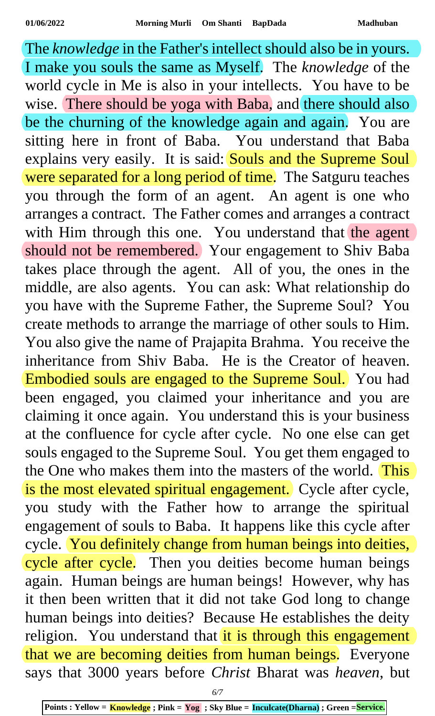The *knowledge* in the Father's intellect should also be in yours. I make you souls the same as Myself. The *knowledge* of the world cycle in Me is also in your intellects. You have to be wise. There should be yoga with Baba, and there should also be the churning of the knowledge again and again. You are sitting here in front of Baba. You understand that Baba explains very easily. It is said: Souls and the Supreme Soul were separated for a long period of time. The Satguru teaches you through the form of an agent. An agent is one who arranges a contract. The Father comes and arranges a contract with Him through this one. You understand that the agent should not be remembered. Your engagement to Shiv Baba takes place through the agent. All of you, the ones in the middle, are also agents. You can ask: What relationship do you have with the Supreme Father, the Supreme Soul? You create methods to arrange the marriage of other souls to Him. You also give the name of Prajapita Brahma. You receive the inheritance from Shiv Baba. He is the Creator of heaven. Embodied souls are engaged to the Supreme Soul. You had been engaged, you claimed your inheritance and you are claiming it once again. You understand this is your business at the confluence for cycle after cycle. No one else can get souls engaged to the Supreme Soul. You get them engaged to the One who makes them into the masters of the world. This is the most elevated spiritual engagement. Cycle after cycle, you study with the Father how to arrange the spiritual engagement of souls to Baba. It happens like this cycle after cycle. You definitely change from human beings into deities, cycle after cycle. Then you deities become human beings again. Human beings are human beings! However, why has it then been written that it did not take God long to change human beings into deities? Because He establishes the deity religion. You understand that it is through this engagement that we are becoming deities from human beings. Everyone says that 3000 years before *Christ* Bharat was *heaven*, but

*6/7*